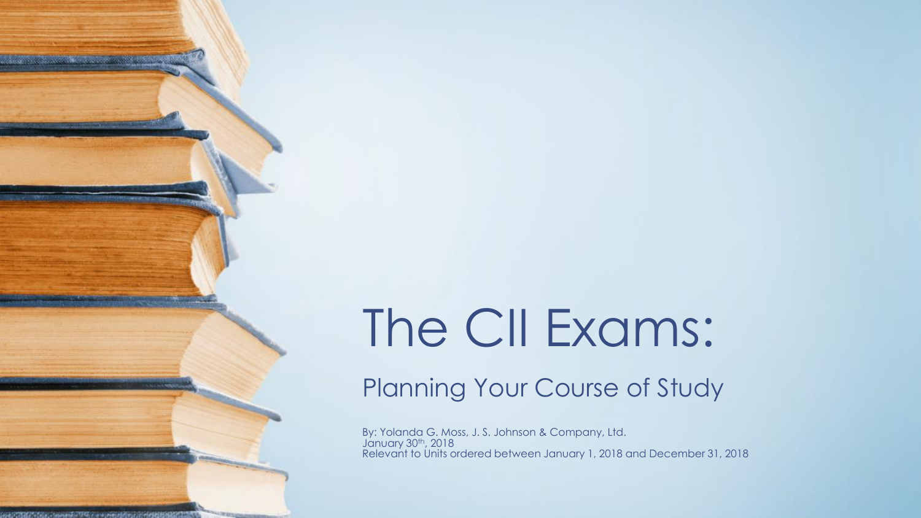# The CII Exams:

**SERVICE MODERN CONTRACTOR** 

Planning Your Course of Study

By: Yolanda G. Moss, J. S. Johnson & Company, Ltd. January 30<sup>th</sup>, 2018 Relevant to Units ordered between January 1, 2018 and December 31, 2018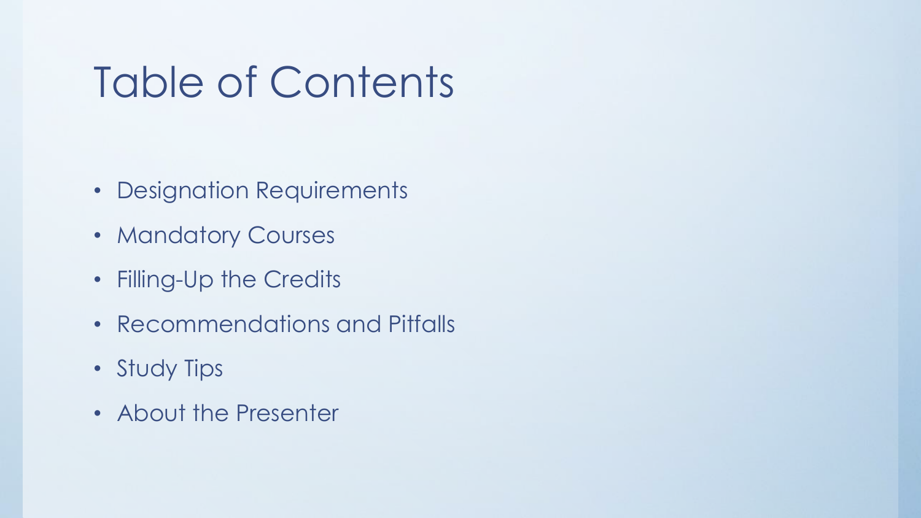## Table of Contents

- Designation Requirements
- Mandatory Courses
- Filling-Up the Credits
- Recommendations and Pitfalls
- Study Tips
- About the Presenter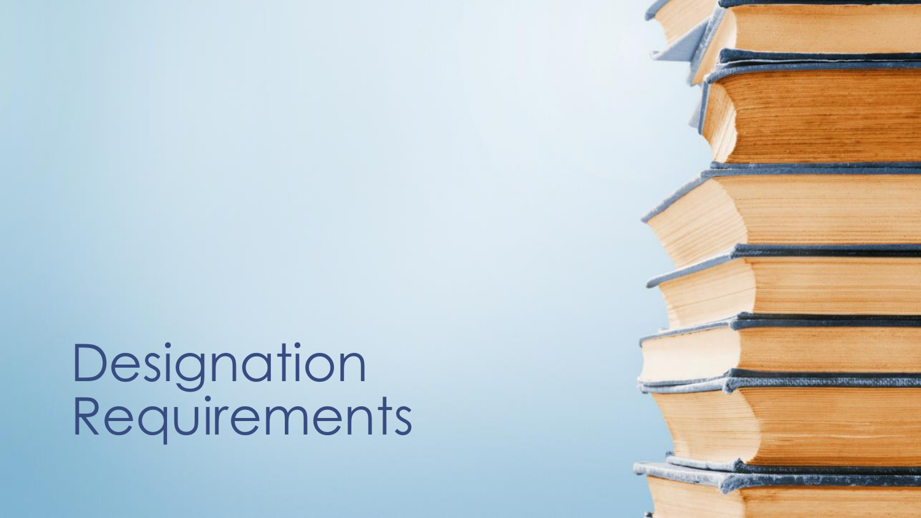**Designation** Requirements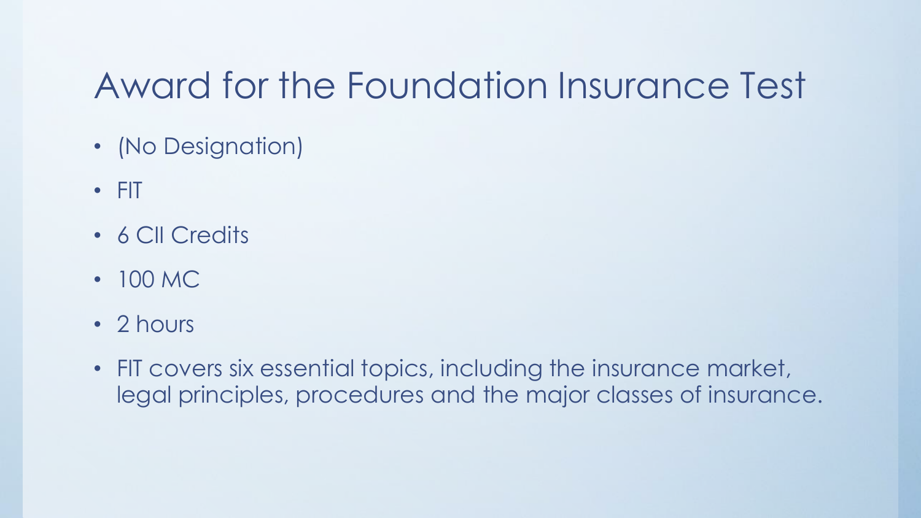### Award for the Foundation Insurance Test

- (No Designation)
- FIT
- 6 CII Credits
- 100 MC
- 2 hours
- FIT covers six essential topics, including the insurance market, legal principles, procedures and the major classes of insurance.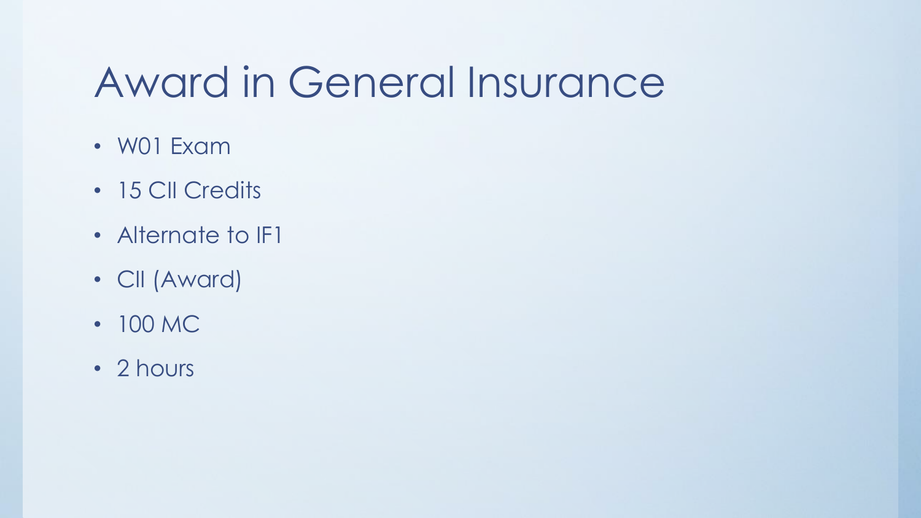## Award in General Insurance

- W01 Exam
- 15 CII Credits
- Alternate to **IF1**
- CII (Award)
- 100 MC
- 2 hours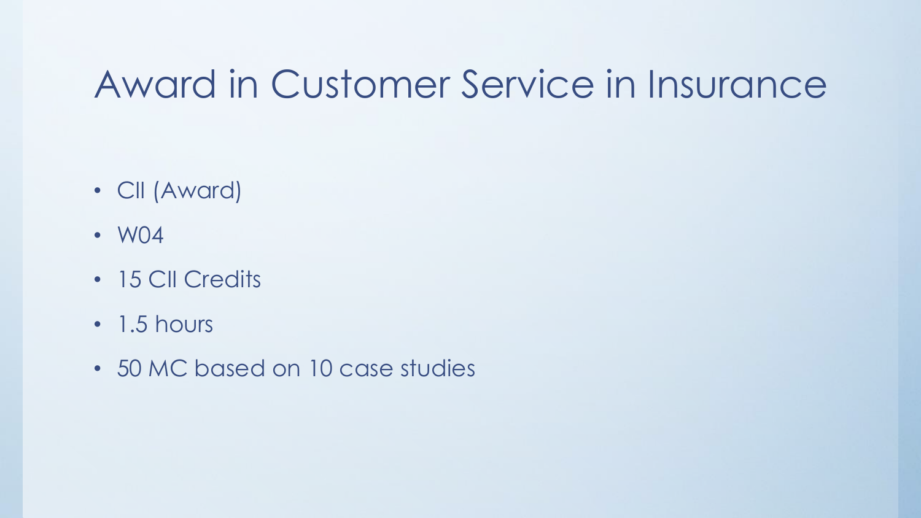### Award in Customer Service in Insurance

- CII (Award)
- W04
- 15 CII Credits
- 1.5 hours
- 50 MC based on 10 case studies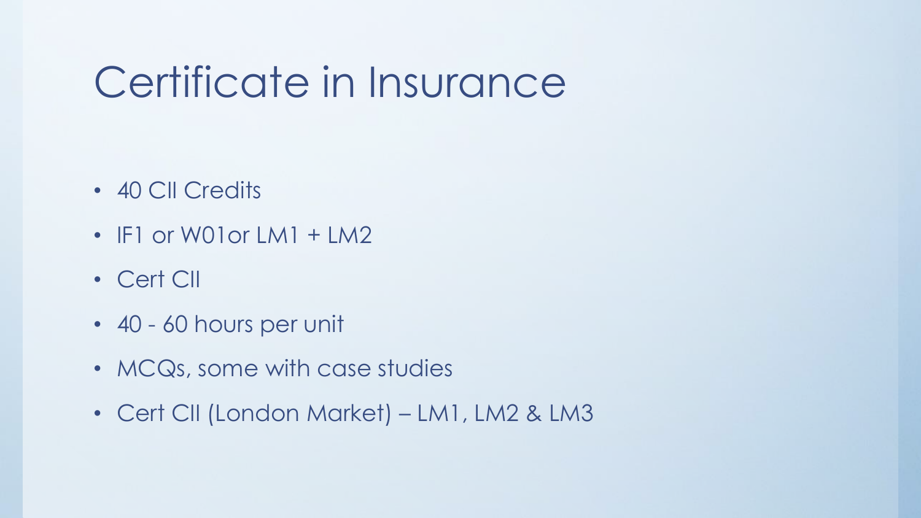## Certificate in Insurance

- 40 CII Credits
- IF1 or W01 or LM1 + LM2
- Cert CII
- 40 60 hours per unit
- MCQs, some with case studies
- Cert CII (London Market) LM1, LM2 & LM3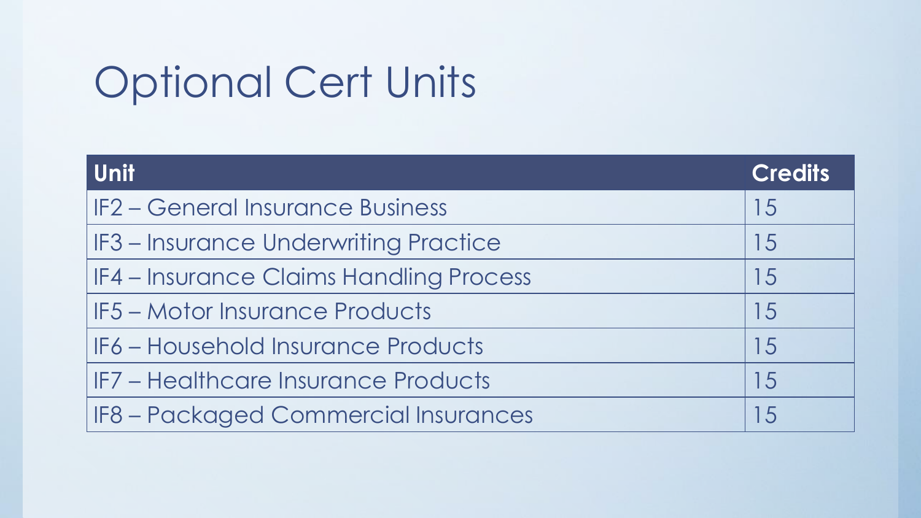## Optional Cert Units

| <b>Unit</b>                             | <b>Credits</b> |
|-----------------------------------------|----------------|
| <b>IF2 - General Insurance Business</b> | 15             |
| IF3 - Insurance Underwriting Practice   | 15             |
| IF4 – Insurance Claims Handling Process | 15             |
| <b>IF5 – Motor Insurance Products</b>   | 15             |
| IF6 - Household Insurance Products      | 15             |
| IF7 - Healthcare Insurance Products     | 15             |
| IF8 - Packaged Commercial Insurances    | 15             |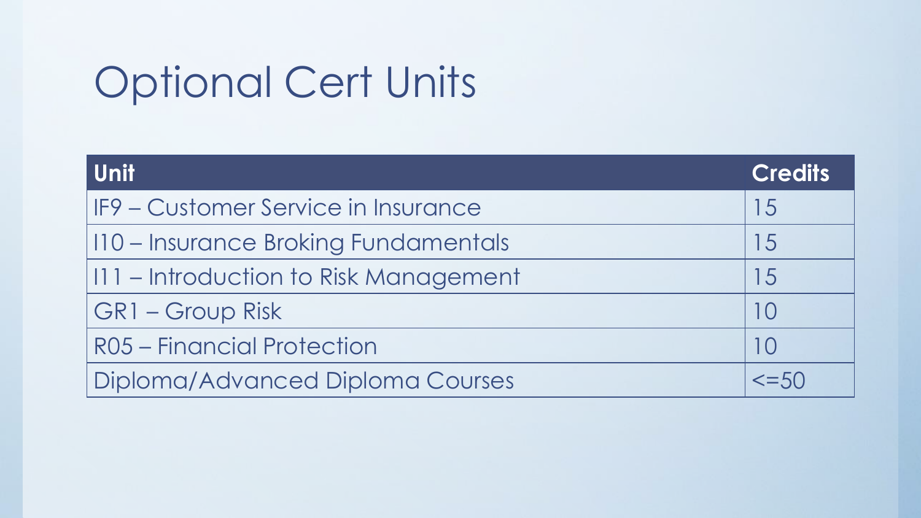## Optional Cert Units

| Unit                                  | <b>Credits</b> |
|---------------------------------------|----------------|
| IF9 – Customer Service in Insurance   | 15             |
| 110 – Insurance Broking Fundamentals  | 15             |
| 111 – Introduction to Risk Management | 15             |
| <b>GR1 - Group Risk</b>               | $\vert$ ()     |
| R05 - Financial Protection            | 10             |
| Diploma/Advanced Diploma Courses      | $\leq$ =50     |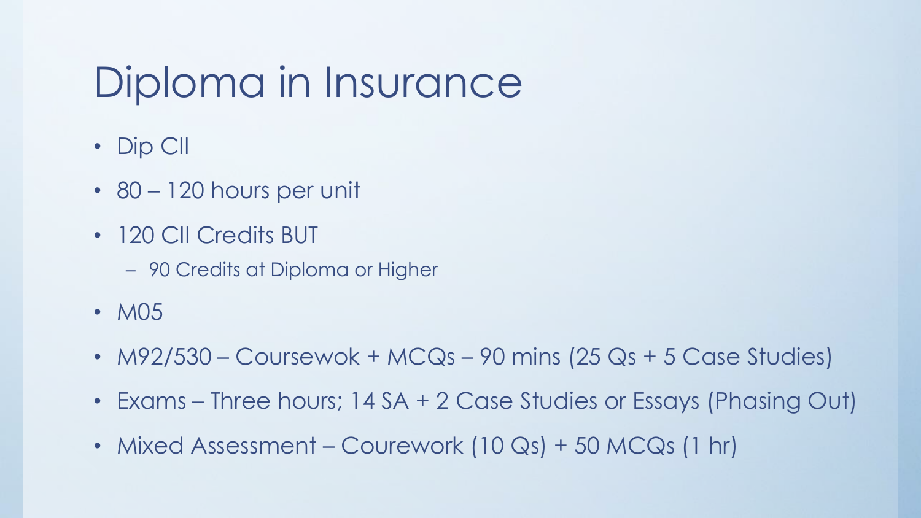## Diploma in Insurance

- Dip CII
- 80 120 hours per unit
- 120 CII Credits BUT
	- 90 Credits at Diploma or Higher
- M05
- $M92/530$  Coursewok + MCQs 90 mins (25 Qs + 5 Case Studies)
- Exams Three hours; 14 SA + 2 Case Studies or Essays (Phasing Out)
- Mixed Assessment Courework (10 Qs) + 50 MCQs (1 hr)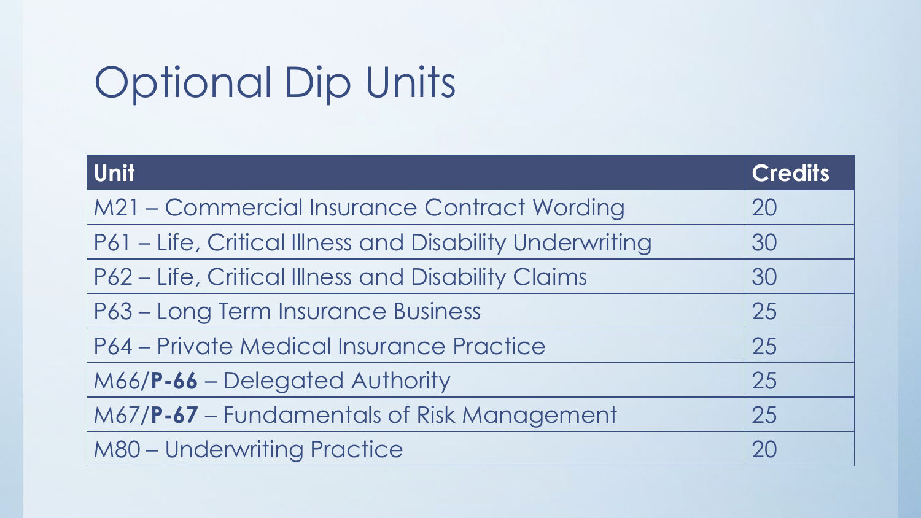## Optional Dip Units

| <b>Unit</b>                                              | <b>Credits</b> |
|----------------------------------------------------------|----------------|
| M21 - Commercial Insurance Contract Wording              | 20             |
| P61 - Life, Critical Illness and Disability Underwriting | 30             |
| P62 - Life, Critical Illness and Disability Claims       | 30             |
| P63 - Long Term Insurance Business                       | 25             |
| P64 – Private Medical Insurance Practice                 | 25             |
| M66/P-66 - Delegated Authority                           | 25             |
| M67/P-67 – Fundamentals of Risk Management               | 25             |
| <b>M80 - Underwriting Practice</b>                       | 20             |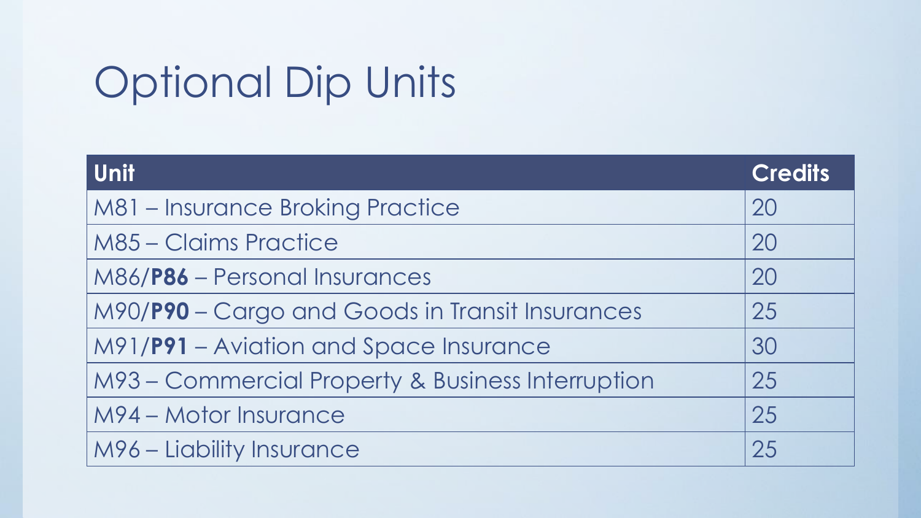## Optional Dip Units

| <b>Unit</b>                                       | <b>Credits</b> |
|---------------------------------------------------|----------------|
| M81 - Insurance Broking Practice                  | 20             |
| <b>M85 - Claims Practice</b>                      | 20             |
| M86/P86 - Personal Insurances                     | 20             |
| M90/P90 - Cargo and Goods in Transit Insurances   | 25             |
| M91/P91 - Aviation and Space Insurance            | 30             |
| M93 – Commercial Property & Business Interruption | 25             |
| <b>M94 - Motor Insurance</b>                      | 25             |
| M96 – Liability Insurance                         | 25             |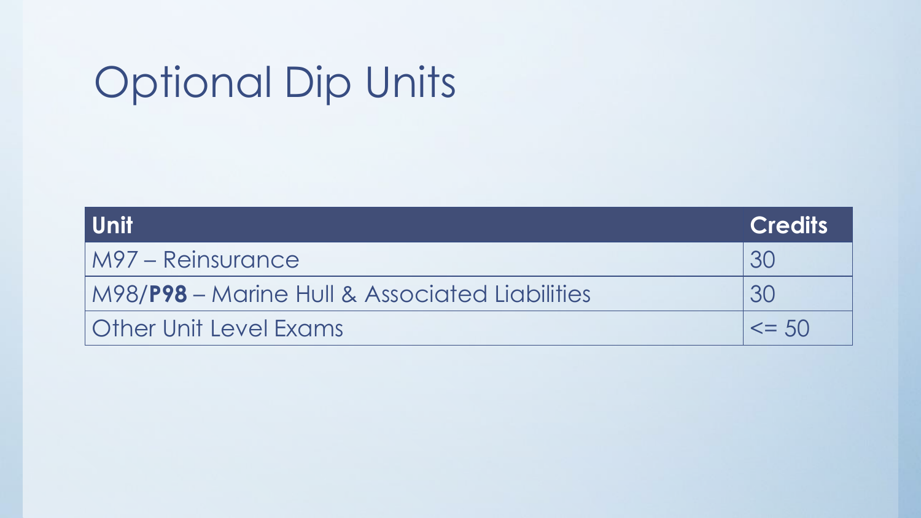## Optional Dip Units

| l Unitl                                                | <b>Credits</b> |
|--------------------------------------------------------|----------------|
| M97 – Reinsurance                                      | .30            |
| M98/ <b>P98</b> – Marine Hull & Associated Liabilities | 30             |
| <b>Other Unit Level Exams</b>                          | $\leq$ 50      |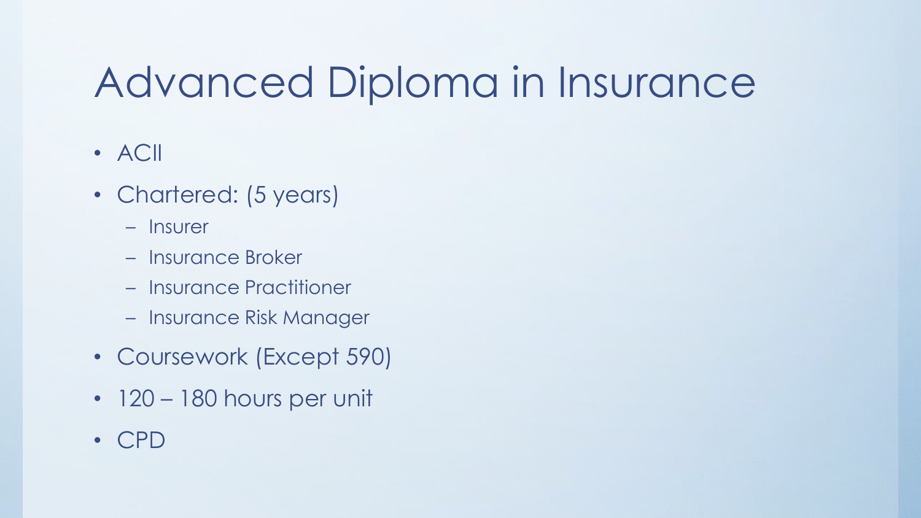## Advanced Diploma in Insurance

- ACII
- Chartered: (5 years)
	- Insurer
	- Insurance Broker
	- Insurance Practitioner
	- Insurance Risk Manager
- Coursework (Except 590)
- 120 180 hours per unit
- CPD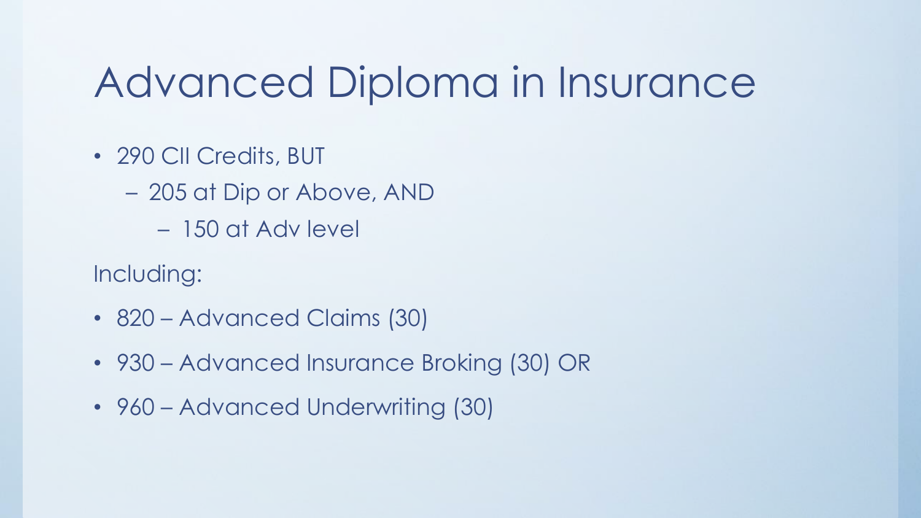## Advanced Diploma in Insurance

• 290 CII Credits, BUT

– 205 at Dip or Above, AND

– 150 at Adv level

Including:

- 820 Advanced Claims (30)
- 930 Advanced Insurance Broking (30) OR
- 960 Advanced Underwriting (30)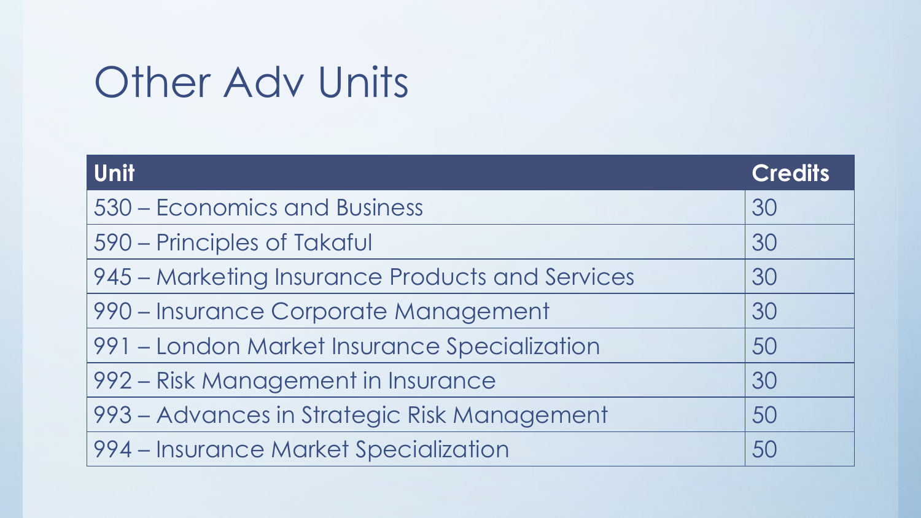## **Other Adv Units**

| <b>Unit</b>                                     | <b>Credits</b> |
|-------------------------------------------------|----------------|
| 530 – Economics and Business                    | 30             |
| 590 – Principles of Takaful                     | 30             |
| 945 – Marketing Insurance Products and Services | 30             |
| 990 – Insurance Corporate Management            | 30             |
| 991 - London Market Insurance Specialization    | 50             |
| 992 – Risk Management in Insurance              | 30             |
| 993 – Advances in Strategic Risk Management     | 50             |
| 994 – Insurance Market Specialization           | 50             |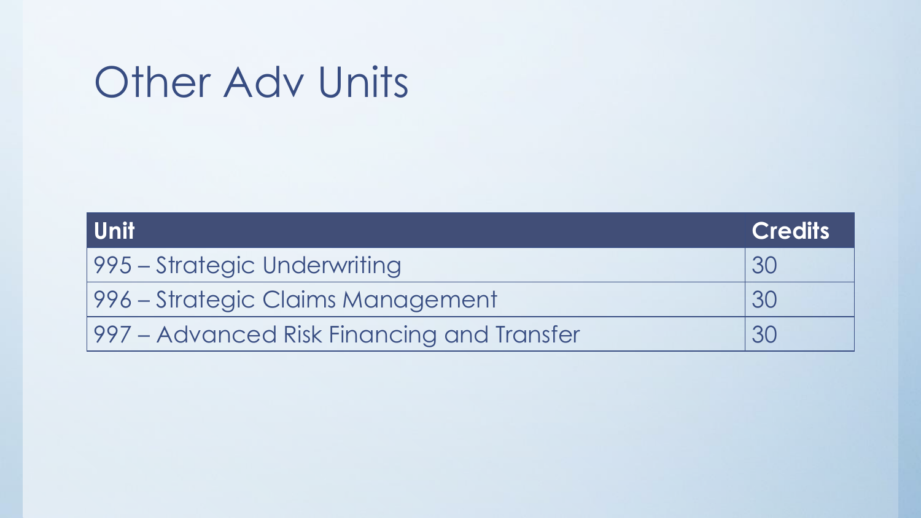## **Other Adv Units**

| l Unit                                     | <b>Credits</b> |
|--------------------------------------------|----------------|
| 1995 – Strategic Underwriting              | .30            |
| 1996 – Strategic Claims Management         | 30             |
| 997 – Advanced Risk Financing and Transfer | <b>30</b>      |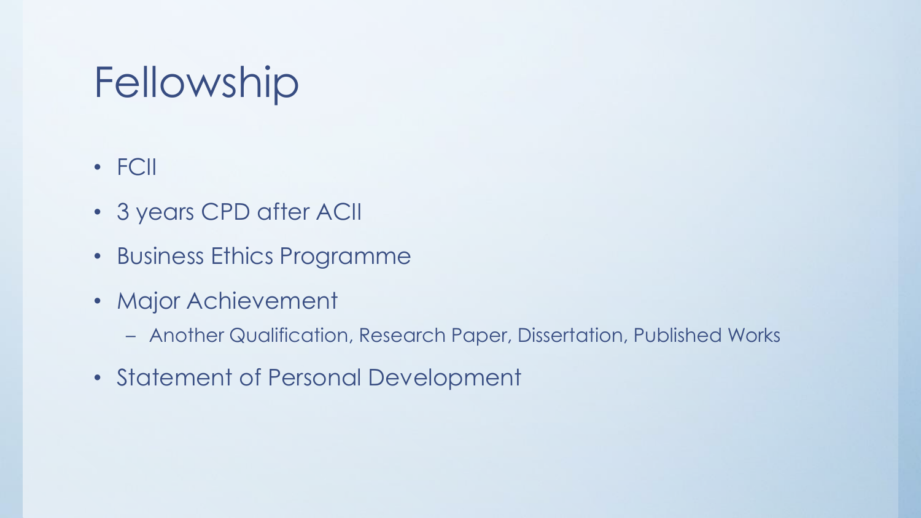## Fellowship

- FCII
- 3 years CPD after ACII
- Business Ethics Programme
- Major Achievement
	- Another Qualification, Research Paper, Dissertation, Published Works
- Statement of Personal Development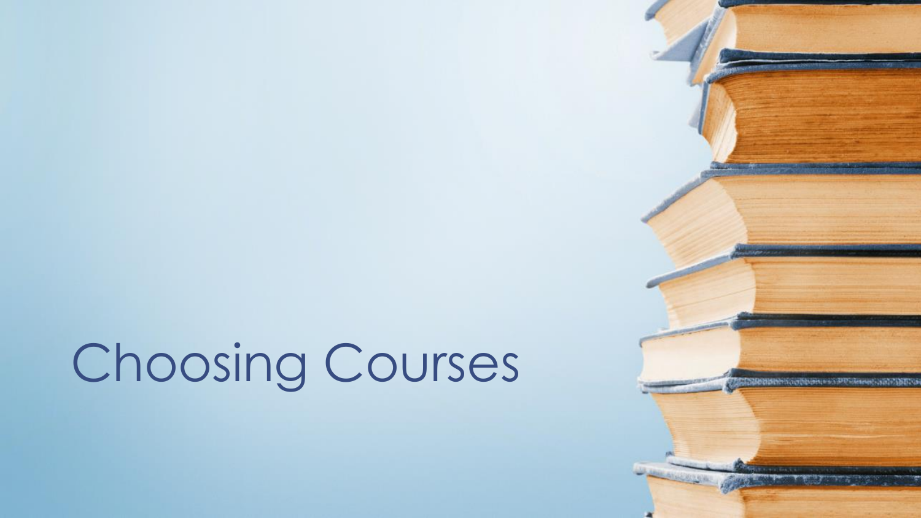# Choosing Courses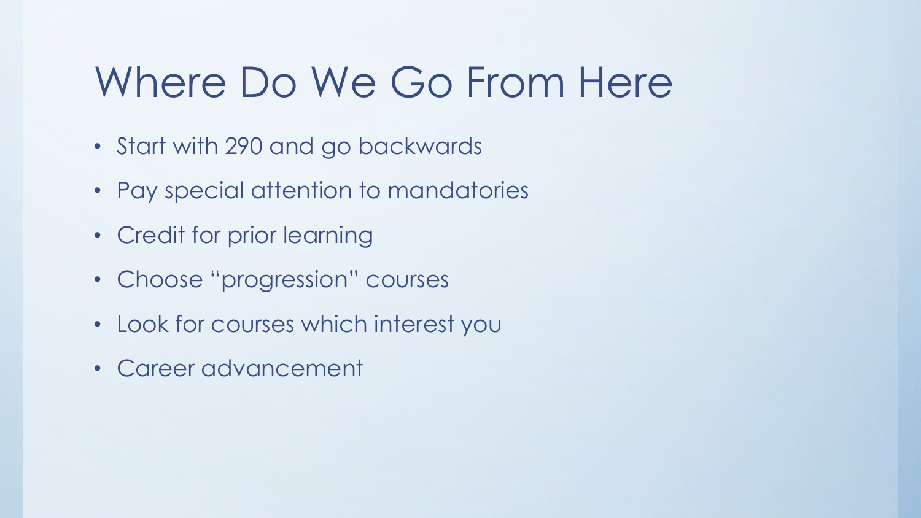## Where Do We Go From Here

- Start with 290 and go backwards
- Pay special attention to mandatories
- Credit for prior learning
- Choose "progression" courses
- Look for courses which interest you
- Career advancement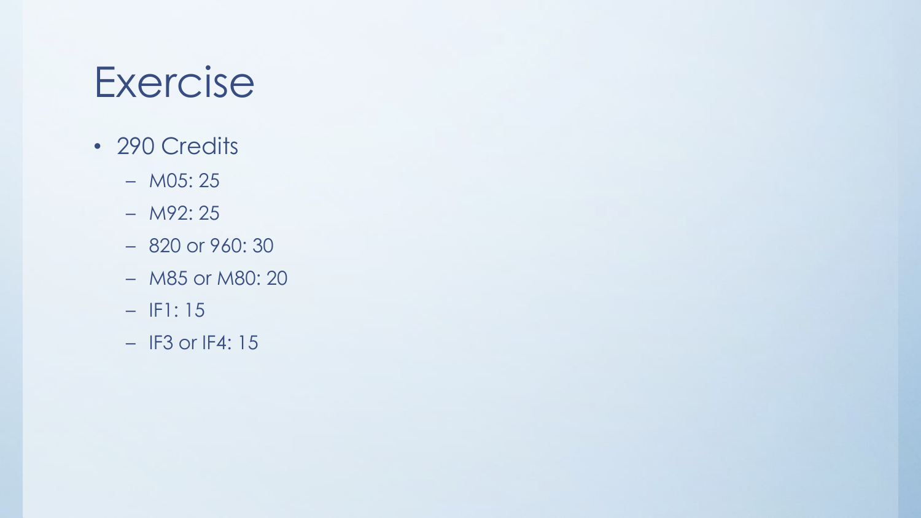## Exercise

- 290 Credits
	- M05: 25
	- M92: 25
	- 820 or 960: 30
	- M85 or M80: 20
	- IF1: 15
	- IF3 or IF4: 15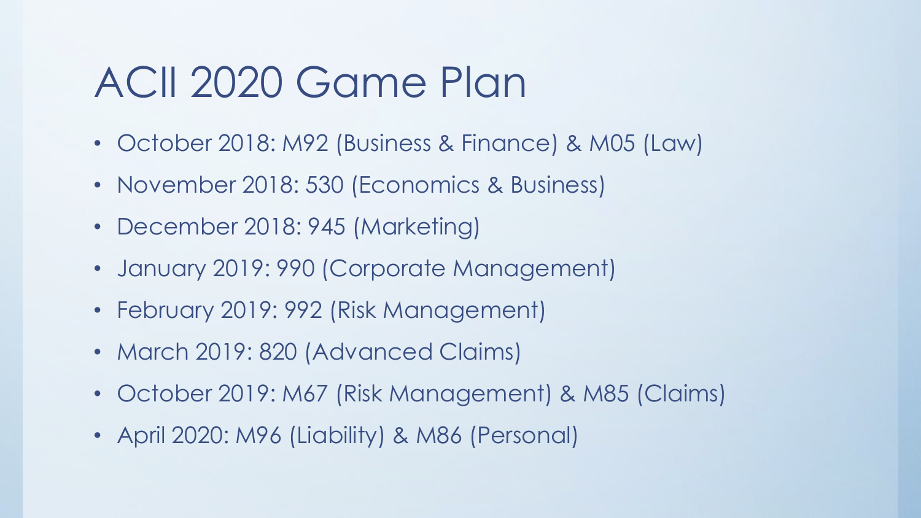## ACII 2020 Game Plan

- October 2018: M92 (Business & Finance) & M05 (Law)
- November 2018: 530 (Economics & Business)
- December 2018: 945 (Marketing)
- January 2019: 990 (Corporate Management)
- February 2019: 992 (Risk Management)
- March 2019: 820 (Advanced Claims)
- October 2019: M67 (Risk Management) & M85 (Claims)
- April 2020: M96 (Liability) & M86 (Personal)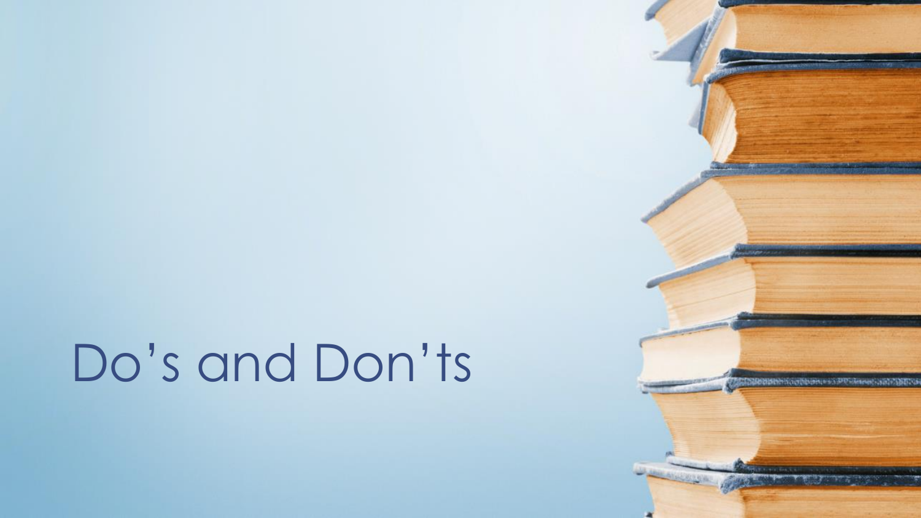# Do's and Don'ts

**CASH HIMMISSION AND AN ANY OF**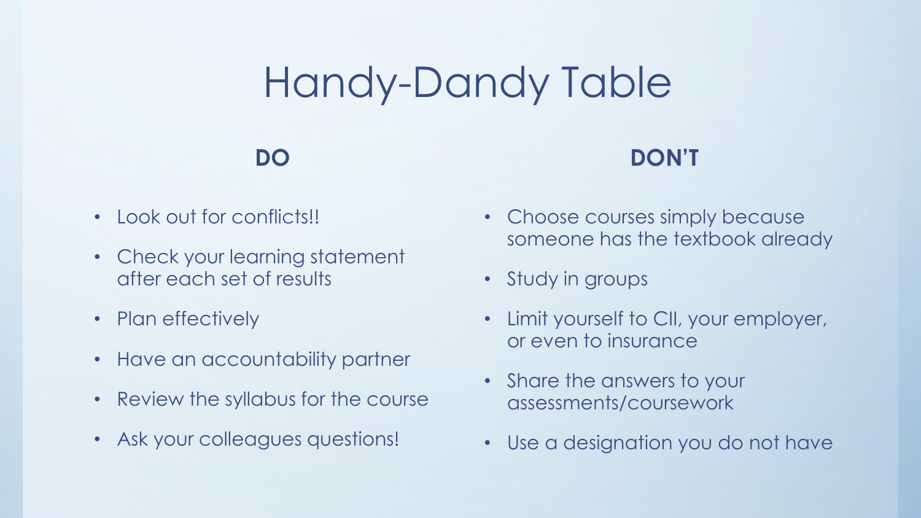## Handy-Dandy Table

#### **DO**

### **DON'T**

- Look out for conflicts!!
- Check your learning statement after each set of results
- Plan effectively
- Have an accountability partner
- Review the syllabus for the course
- Ask your colleagues questions!
- Choose courses simply because someone has the textbook already
- Study in groups
- Limit yourself to CII, your employer, or even to insurance
- Share the answers to your assessments/coursework
- Use a designation you do not have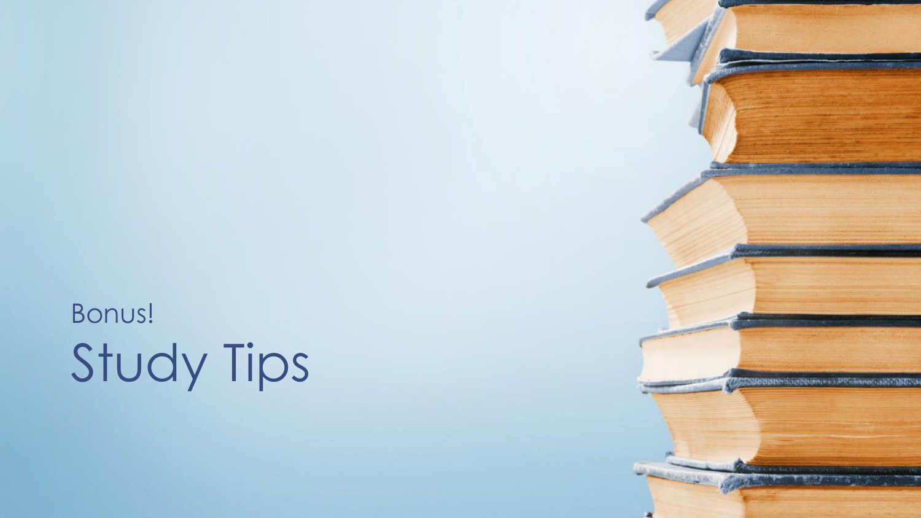Study Tips Bonus!

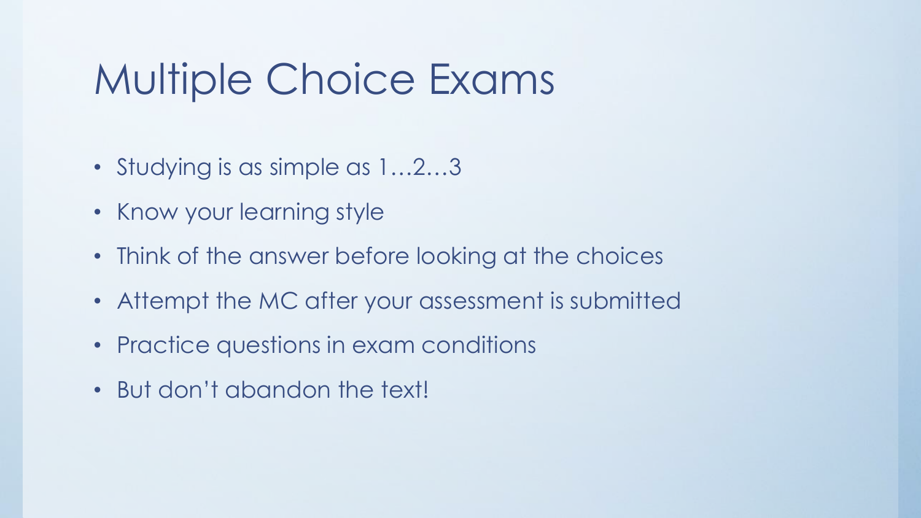## Multiple Choice Exams

- Studying is as simple as  $1...2...3$
- Know your learning style
- Think of the answer before looking at the choices
- Attempt the MC after your assessment is submitted
- Practice questions in exam conditions
- But don't abandon the text!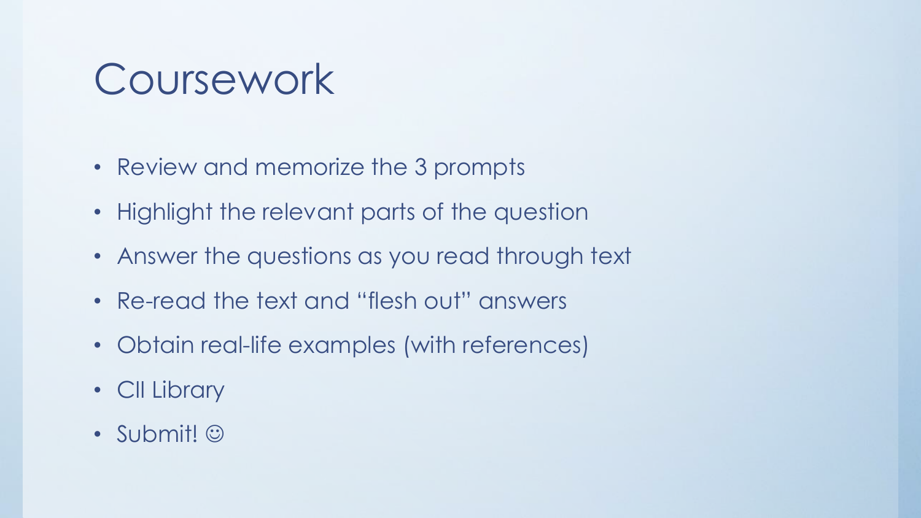## Coursework

- Review and memorize the 3 prompts
- Highlight the relevant parts of the question
- Answer the questions as you read through text
- Re-read the text and "flesh out" answers
- Obtain real-life examples (with references)
- CII Library
- Submit! ©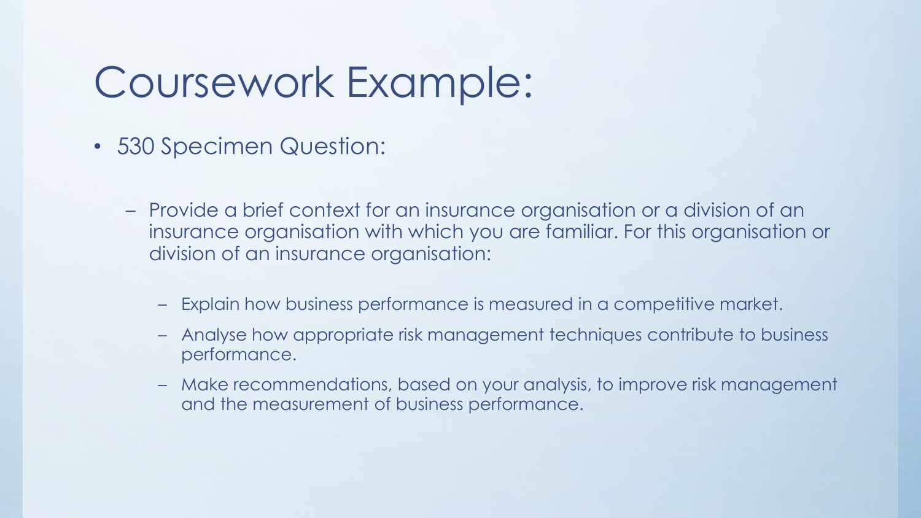## Coursework Example:

- 530 Specimen Question:
	- Provide a brief context for an insurance organisation or a division of an insurance organisation with which you are familiar. For this organisation or division of an insurance organisation:
		- Explain how business performance is measured in a competitive market.
		- Analyse how appropriate risk management techniques contribute to business performance.
		- Make recommendations, based on your analysis, to improve risk management and the measurement of business performance.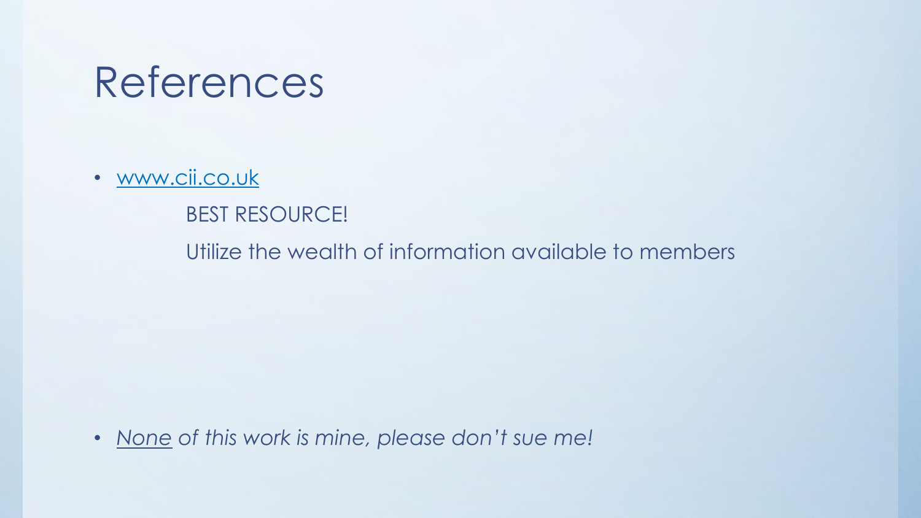## References

• [www.cii.co.uk](http://www.cii.co.uk/)

#### BEST RESOURCE!

Utilize the wealth of information available to members

• *None of this work is mine, please don't sue me!*